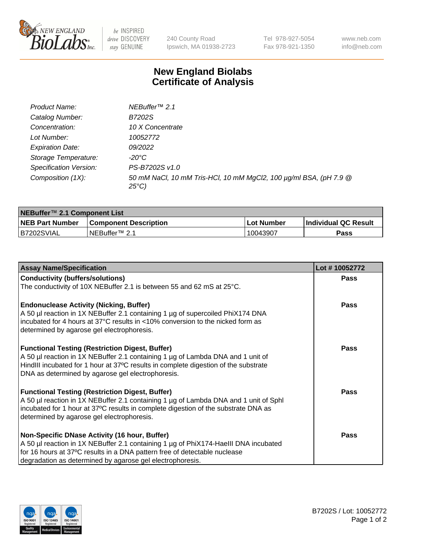

be INSPIRED drive DISCOVERY stay GENUINE

240 County Road Ipswich, MA 01938-2723 Tel 978-927-5054 Fax 978-921-1350 www.neb.com info@neb.com

## **New England Biolabs Certificate of Analysis**

| Product Name:                 | NEBuffer <sup>™</sup> 2.1                                                          |
|-------------------------------|------------------------------------------------------------------------------------|
| Catalog Number:               | B7202S                                                                             |
| Concentration:                | 10 X Concentrate                                                                   |
| Lot Number:                   | 10052772                                                                           |
| <b>Expiration Date:</b>       | 09/2022                                                                            |
| Storage Temperature:          | -20°C                                                                              |
| <b>Specification Version:</b> | PS-B7202S v1.0                                                                     |
| Composition (1X):             | 50 mM NaCl, 10 mM Tris-HCl, 10 mM MgCl2, 100 µg/ml BSA, (pH 7.9 @<br>$25^{\circ}C$ |

| NEBuffer <sup>™</sup> 2.1 Component List |                              |            |                             |  |  |
|------------------------------------------|------------------------------|------------|-----------------------------|--|--|
| <b>NEB Part Number</b>                   | <b>Component Description</b> | Lot Number | <b>Individual QC Result</b> |  |  |
| B7202SVIAL                               | NEBuffer™ 2.1                | 10043907   | Pass                        |  |  |

| <b>Assay Name/Specification</b>                                                                                                                                                                                                                                                       | Lot #10052772 |
|---------------------------------------------------------------------------------------------------------------------------------------------------------------------------------------------------------------------------------------------------------------------------------------|---------------|
| <b>Conductivity (buffers/solutions)</b>                                                                                                                                                                                                                                               | <b>Pass</b>   |
| The conductivity of 10X NEBuffer 2.1 is between 55 and 62 mS at 25°C.                                                                                                                                                                                                                 |               |
| <b>Endonuclease Activity (Nicking, Buffer)</b><br>A 50 µl reaction in 1X NEBuffer 2.1 containing 1 µg of supercoiled PhiX174 DNA<br>incubated for 4 hours at 37°C results in <10% conversion to the nicked form as<br>determined by agarose gel electrophoresis.                      | <b>Pass</b>   |
| <b>Functional Testing (Restriction Digest, Buffer)</b><br>A 50 µl reaction in 1X NEBuffer 2.1 containing 1 µg of Lambda DNA and 1 unit of<br>HindIII incubated for 1 hour at 37°C results in complete digestion of the substrate<br>DNA as determined by agarose gel electrophoresis. | <b>Pass</b>   |
| <b>Functional Testing (Restriction Digest, Buffer)</b><br>A 50 µl reaction in 1X NEBuffer 2.1 containing 1 µg of Lambda DNA and 1 unit of Sphl<br>incubated for 1 hour at 37°C results in complete digestion of the substrate DNA as<br>determined by agarose gel electrophoresis.    | Pass          |
| Non-Specific DNase Activity (16 hour, Buffer)<br>A 50 µl reaction in 1X NEBuffer 2.1 containing 1 µg of PhiX174-HaellI DNA incubated<br>for 16 hours at 37°C results in a DNA pattern free of detectable nuclease<br>degradation as determined by agarose gel electrophoresis.        | Pass          |